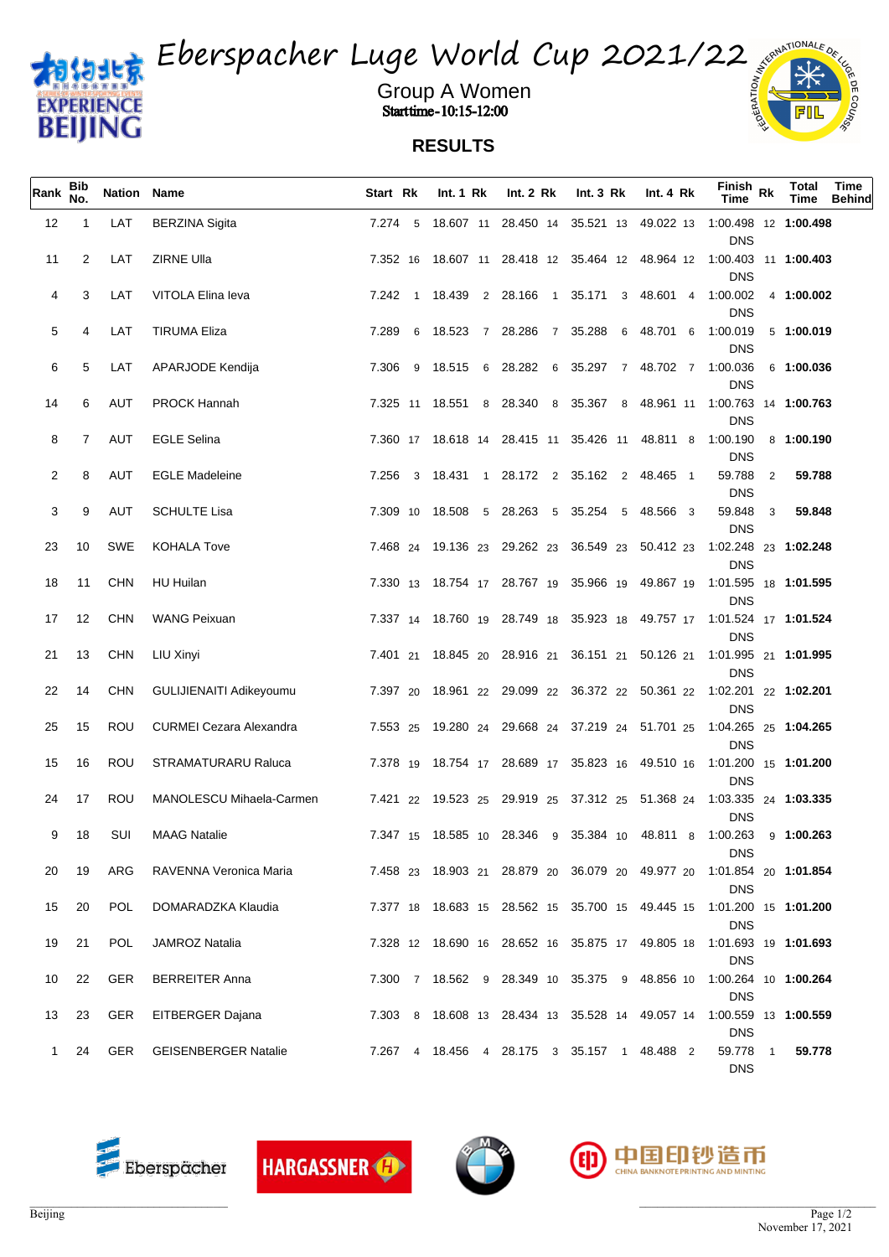



Group A Women **Start time - 10:15-12:00**  $\frac{6}{2}$ 

## **RESULTS**

| Rank | <b>Bib</b><br>No. | Nation Name |                                | Start Rk | Int. $1 \,$ Rk   | Int. 2 Rk                                                | Int. $3 \, Rk$                      | Int. $4 \, Rk$ | $F_{\perp}$ nish Rk<br><b>Time</b>                                                                | <b>Total</b><br>Time | Time<br><b>Behind</b> |
|------|-------------------|-------------|--------------------------------|----------|------------------|----------------------------------------------------------|-------------------------------------|----------------|---------------------------------------------------------------------------------------------------|----------------------|-----------------------|
| 12   | $\overline{1}$    | LAT         | <b>BERZINA Sigita</b>          |          |                  |                                                          |                                     |                | 7.274 5 18.607 11 28.450 14 35.521 13 49.022 13 1:00.498 12 1:00.498<br><b>DNS</b>                |                      |                       |
| 11   | 2                 | LAT         | ZIRNE Ulla                     |          |                  |                                                          |                                     |                | 7.352 16 18.607 11 28.418 12 35.464 12 48.964 12 1:00.403 11 1:00.403<br><b>DNS</b>               |                      |                       |
| 4    | 3                 | LAT         | VITOLA Elina leva              |          |                  | 7.242 1 18.439 2 28.166 1 35.171 3 48.601 4 1:00.002     |                                     |                | <b>DNS</b>                                                                                        | 4 1:00.002           |                       |
| 5    | 4                 | LAT         | <b>TIRUMA Eliza</b>            |          |                  | 7.289 6 18.523 7 28.286 7 35.288 6 48.701 6 1:00.019     |                                     |                | <b>DNS</b>                                                                                        | 5 1:00.019           |                       |
| 6    | 5                 | LAT         | APARJODE Kendija               |          | 7.306 9 18.515 6 |                                                          | 28.282 6 35.297 7 48.702 7 1:00.036 |                | <b>DNS</b>                                                                                        | 6 1:00.036           |                       |
| 14   | 6                 | AUT         | <b>PROCK Hannah</b>            |          |                  |                                                          |                                     |                | 7.325 11 18.551 8 28.340 8 35.367 8 48.961 11 1:00.763 14 1:00.763<br><b>DNS</b>                  |                      |                       |
| 8    | $\mathbf{7}$      | AUT         | <b>EGLE Selina</b>             |          |                  | 7.360 17 18.618 14 28.415 11 35.426 11 48.811 8 1:00.190 |                                     |                | <b>DNS</b>                                                                                        | 8 1:00.190           |                       |
| 2    | 8                 | AUT         | <b>EGLE Madeleine</b>          |          |                  | 7.256 3 18.431 1 28.172 2 35.162 2 48.465 1              |                                     |                | 59.788<br>$\overline{2}$<br><b>DNS</b>                                                            | 59.788               |                       |
| 3    | 9                 | AUT         | <b>SCHULTE Lisa</b>            |          |                  | 7.309 10 18.508 5 28.263 5 35.254 5 48.566 3             |                                     |                | 59.848<br>3<br><b>DNS</b>                                                                         | 59.848               |                       |
| 23   | 10                | SWE         | <b>KOHALA Tove</b>             |          |                  | 7.468 24 19.136 23 29.262 23 36.549 23 50.412 23         |                                     |                | 1:02.248 23 1:02.248<br><b>DNS</b>                                                                |                      |                       |
| 18   | 11                | CHN         | HU Huilan                      |          |                  |                                                          |                                     |                | 7.330 13 18.754 17 28.767 19 35.966 19 49.867 19 1:01.595 18 1:01.595                             |                      |                       |
| 17   | 12                | CHN         | WANG Peixuan                   |          |                  |                                                          |                                     |                | <b>DNS</b><br>7.337 14 18.760 19 28.749 18 35.923 18 49.757 17 1:01.524 17 1:01.524               |                      |                       |
| 21   | 13                | CHN         | LIU Xinyi                      |          |                  |                                                          |                                     |                | <b>DNS</b><br>7.401 21 18.845 20 28.916 21 36.151 21 50.126 21 1:01.995 21 1:01.995<br><b>DNS</b> |                      |                       |
| 22   | 14                | CHN         | GULIJIENAITI Adikeyoumu        |          |                  |                                                          |                                     |                | 7.397 20 18.961 22 29.099 22 36.372 22 50.361 22 1:02.201 22 1:02.201                             |                      |                       |
| 25   | 15                | ROU         | <b>CURMEI Cezara Alexandra</b> |          |                  |                                                          |                                     |                | <b>DNS</b><br>7.553 25 19.280 24 29.668 24 37.219 24 51.701 25 1:04.265 25 1:04.265               |                      |                       |
| 15   | 16                | ROU         | <b>STRAMATURARU Raluca</b>     |          |                  |                                                          |                                     |                | <b>DNS</b><br>7.378 19 18.754 17 28.689 17 35.823 16 49.510 16 1:01.200 15 1:01.200               |                      |                       |
| 24   | 17                | ROU         | MANOLESCU Mihaela-Carmen       |          |                  |                                                          |                                     |                | <b>DNS</b><br>7.421 22 19.523 25 29.919 25 37.312 25 51.368 24 1.03.335 24 1:03.335               |                      |                       |
| 9    | 18                | SUI         | <b>MAAG Natalie</b>            |          |                  |                                                          |                                     |                | <b>DNS</b><br>7.347 15 18.585 10 28.346 9 35.384 10 48.811 8 1:00.263 9 1:00.263                  |                      |                       |
| 20   | 19                | ARG         | RAVENNA Veronica Maria         |          |                  |                                                          |                                     |                | <b>DNS</b><br>7.458 23 18.903 21 28.879 20 36.079 20 49.977 20 1:01.854 20 1: <b>01.854</b>       |                      |                       |
| 15   | 20                | POL         | DOMARADZKA Klaudia             |          |                  |                                                          |                                     |                | <b>DNS</b><br>7.377 18 18.683 15 28.562 15 35.700 15 49.445 15 1:01.200 15 1:01.200               |                      |                       |
| 19   | 21                | <b>POL</b>  | <b>JAMROZ Natalia</b>          |          |                  |                                                          |                                     |                | <b>DNS</b><br>7.328 12 18.690 16 28.652 16 35.875 17 49.805 18 1:01.693 19 1:01.693               |                      |                       |
| 10   | 22                | GER         | <b>BERREITER Anna</b>          |          |                  |                                                          |                                     |                | <b>DNS</b><br>7.300 7 18.562 9 28.349 10 35.375 9 48.856 10 1:00.264 10 1:00.264                  |                      |                       |
| 13   | 23                | GER         | EITBERGER Dajana               |          |                  |                                                          |                                     |                | <b>DNS</b><br>7.303 8 18.608 13 28.434 13 35.528 14 49.057 14 1:00.559 13 1:00.559                |                      |                       |
| 1    | 24                | GER         | <b>GEISENBERGER Natalie</b>    |          |                  | 7.267 4 18.456 4 28.175 3 35.157 1 48.488 2              |                                     |                | <b>DNS</b><br>59.778<br>$\mathbf{1}$                                                              | 59.778               |                       |
|      |                   |             |                                |          |                  |                                                          |                                     |                | <b>DNS</b>                                                                                        |                      |                       |